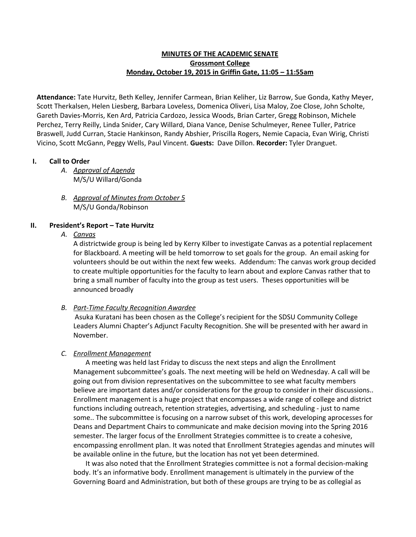## **MINUTES OF THE ACADEMIC SENATE Grossmont College Monday, October 19, 2015 in Griffin Gate, 11:05 – 11:55am**

**Attendance:** Tate Hurvitz, Beth Kelley, Jennifer Carmean, Brian Keliher, Liz Barrow, Sue Gonda, Kathy Meyer, Scott Therkalsen, Helen Liesberg, Barbara Loveless, Domenica Oliveri, Lisa Maloy, Zoe Close, John Scholte, Gareth Davies-Morris, Ken Ard, Patricia Cardozo, Jessica Woods, Brian Carter, Gregg Robinson, Michele Perchez, Terry Reilly, Linda Snider, Cary Willard, Diana Vance, Denise Schulmeyer, Renee Tuller, Patrice Braswell, Judd Curran, Stacie Hankinson, Randy Abshier, Priscilla Rogers, Nemie Capacia, Evan Wirig, Christi Vicino, Scott McGann, Peggy Wells, Paul Vincent. **Guests:**Dave Dillon. **Recorder:** Tyler Dranguet.

## **I. Call to Order**

- *A. Approval of Agenda* M/S/U Willard/Gonda
- *B. Approval of Minutes from October 5* M/S/U Gonda/Robinson

# **II. President's Report – Tate Hurvitz**

# *A. Canvas*

A districtwide group is being led by Kerry Kilber to investigate Canvas as a potential replacement for Blackboard. A meeting will be held tomorrow to set goals for the group. An email asking for volunteers should be out within the next few weeks. Addendum: The canvas work group decided to create multiple opportunities for the faculty to learn about and explore Canvas rather that to bring a small number of faculty into the group as test users. Theses opportunities will be announced broadly

# *B. Part-Time Faculty Recognition Awardee*

Asuka Kuratani has been chosen as the College's recipient for the SDSU Community College Leaders Alumni Chapter's Adjunct Faculty Recognition. She will be presented with her award in November.

### *C. Enrollment Management*

A meeting was held last Friday to discuss the next steps and align the Enrollment Management subcommittee's goals. The next meeting will be held on Wednesday. A call will be going out from division representatives on the subcommittee to see what faculty members believe are important dates and/or considerations for the group to consider in their discussions.. Enrollment management is a huge project that encompasses a wide range of college and district functions including outreach, retention strategies, advertising, and scheduling - just to name some.. The subcommittee is focusing on a narrow subset of this work, developing aprocesses for Deans and Department Chairs to communicate and make decision moving into the Spring 2016 semester. The larger focus of the Enrollment Strategies committee is to create a cohesive, encompassing enrollment plan. It was noted that Enrollment Strategies agendas and minutes will be available online in the future, but the location has not yet been determined.

It was also noted that the Enrollment Strategies committee is not a formal decision-making body. It's an informative body. Enrollment management is ultimately in the purview of the Governing Board and Administration, but both of these groups are trying to be as collegial as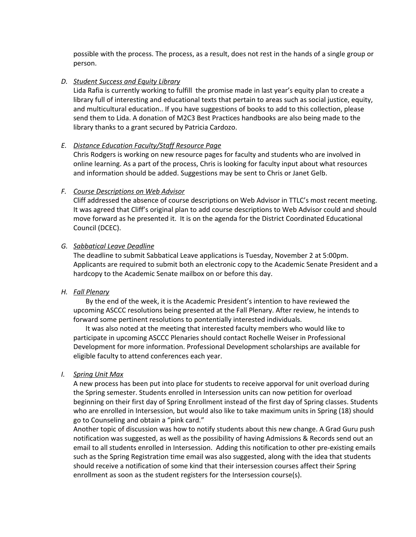possible with the process. The process, as a result, does not rest in the hands of a single group or person.

### *D. Student Success and Equity Library*

Lida Rafia is currently working to fulfill the promise made in last year's equity plan to create a library full of interesting and educational texts that pertain to areas such as social justice, equity, and multicultural education.. If you have suggestions of books to add to this collection, please send them to Lida. A donation of M2C3 Best Practices handbooks are also being made to the library thanks to a grant secured by Patricia Cardozo.

### *E. Distance Education Faculty/Staff Resource Page*

Chris Rodgers is working on new resource pages for faculty and students who are involved in online learning. As a part of the process, Chris is looking for faculty input about what resources and information should be added. Suggestions may be sent to Chris or Janet Gelb.

#### *F. Course Descriptions on Web Advisor*

Cliff addressed the absence of course descriptions on Web Advisor in TTLC's most recent meeting. It was agreed that Cliff's original plan to add course descriptions to Web Advisor could and should move forward as he presented it. It is on the agenda for the District Coordinated Educational Council (DCEC).

#### *G. Sabbatical Leave Deadline*

The deadline to submit Sabbatical Leave applications is Tuesday, November 2 at 5:00pm. Applicants are required to submit both an electronic copy to the Academic Senate President and a hardcopy to the Academic Senate mailbox on or before this day.

### *H. Fall Plenary*

By the end of the week, it is the Academic President's intention to have reviewed the upcoming ASCCC resolutions being presented at the Fall Plenary. After review, he intends to forward some pertinent resolutions to pontentially interested individuals.

It was also noted at the meeting that interested faculty members who would like to participate in upcoming ASCCC Plenaries should contact Rochelle Weiser in Professional Development for more information. Professional Development scholarships are available for eligible faculty to attend conferences each year.

#### *I. Spring Unit Max*

A new process has been put into place for students to receive apporval for unit overload during the Spring semester. Students enrolled in Intersession units can now petition for overload beginning on their first day of Spring Enrollment instead of the first day of Spring classes. Students who are enrolled in Intersession, but would also like to take maximum units in Spring (18) should go to Counseling and obtain a "pink card."

Another topic of discussion was how to notify students about this new change. A Grad Guru push notification was suggested, as well as the possibility of having Admissions & Records send out an email to all students enrolled in Intersession. Adding this notification to other pre-existing emails such as the Spring Registration time email was also suggested, along with the idea that students should receive a notification of some kind that their intersession courses affect their Spring enrollment as soon as the student registers for the Intersession course(s).